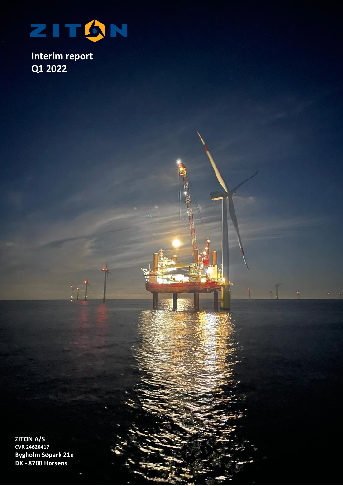

 $11$ 

**Interim report Q1 2022**

**ZITON A/S CVR 24620417 Bygholm Søpark 21e DK - 8700 Horsens**

 $Z = \frac{1}{2}$  ,  $Z = \frac{1}{2}$  ,  $Z = \frac{1}{2}$  ,  $Z = \frac{1}{2}$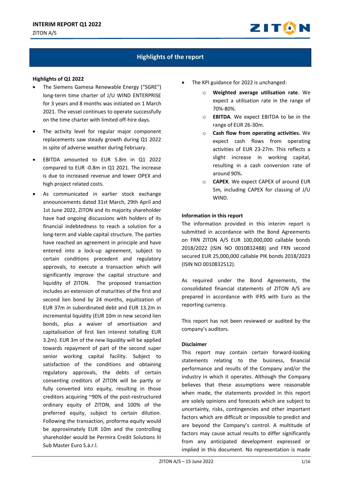

# **Highlights of the report**

#### **Highlights of Q1 2022**

- The Siemens Gamesa Renewable Energy ("SGRE") long-term time charter of J/U WIND ENTERPRISE for 3 years and 8 months was initiated on 1 March 2021. The vessel continues to operate successfully on the time charter with limited off-hire days.
- The activity level for regular major component replacements saw steady growth during Q1 2022 in spite of adverse weather during February.
- EBITDA amounted to EUR 5.8m in Q1 2022 compared to EUR -0.8m in Q1 2021. The increase is due to increased revenue and lower OPEX and high project related costs.
- As communicated in earlier stock exchange announcements dated 31st March, 29th April and 1st June 2022, ZITON and its majority shareholder have had ongoing discussions with holders of its financial indebtedness to reach a solution for a long-term and viable capital structure. The parties have reached an agreement in principle and have entered into a lock-up agreement, subject to certain conditions precedent and regulatory approvals, to execute a transaction which will significantly improve the capital structure and liquidity of ZITON. The proposed transaction includes an extension of maturities of the first and second lien bond by 24 months, equitization of EUR 37m in subordinated debt and EUR 13.2m in incremental liquidity (EUR 10m in new second lien bonds, plus a waiver of amortisation and capitalisation of first lien interest totalling EUR 3.2m). EUR 3m of the new liquidity will be applied towards repayment of part of the second super senior working capital facility. Subject to satisfaction of the conditions and obtaining regulatory approvals, the debts of certain consenting creditors of ZITON will be partly or fully converted into equity, resulting in those creditors acquiring ~90% of the post-restructured ordinary equity of ZITON, and 100% of the preferred equity, subject to certain dilution. Following the transaction, proforma equity would be approximately EUR 10m and the controlling shareholder would be Permira Credit Solutions III Sub Master Euro S.à.r.l.
- The KPI guidance for 2022 is unchanged:
	- o **Weighted average utilisation rate**. We expect a utilisation rate in the range of 70%-80%.
	- o **EBITDA**. We expect EBITDA to be in the range of EUR 26-30m.
	- o **Cash flow from operating activities.** We expect cash flows from operating activities of EUR 23-27m. This reflects a slight increase in working capital, resulting in a cash conversion rate of around 90%.
	- o **CAPEX**. We expect CAPEX of around EUR 5m, including CAPEX for classing of J/U WIND.

#### **Information in this report**

The information provided in this interim report is submitted in accordance with the Bond Agreements on FRN ZITON A/S EUR 100,000,000 callable bonds 2018/2022 (ISIN NO 0010832488) and FRN second secured EUR 25,000,000 callable PIK bonds 2018/2023 (ISIN NO 0010832512).

As required under the Bond Agreements, the consolidated financial statements of ZITON A/S are prepared in accordance with IFRS with Euro as the reporting currency.

This report has not been reviewed or audited by the company's auditors.

#### **Disclaimer**

This report may contain certain forward-looking statements relating to the business, financial performance and results of the Company and/or the industry in which it operates. Although the Company believes that these assumptions were reasonable when made, the statements provided in this report are solely opinions and forecasts which are subject to uncertainty, risks, contingencies and other important factors which are difficult or impossible to predict and are beyond the Company's control. A multitude of factors may cause actual results to differ significantly from any anticipated development expressed or implied in this document. No representation is made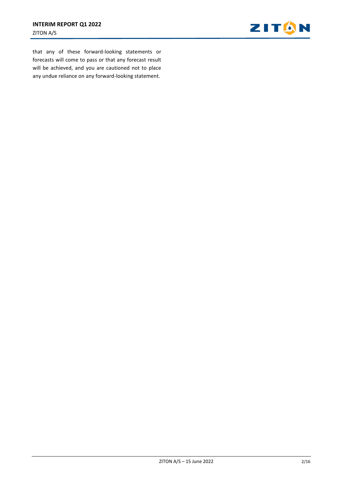

that any of these forward-looking statements or forecasts will come to pass or that any forecast result will be achieved, and you are cautioned not to place any undue reliance on any forward-looking statement.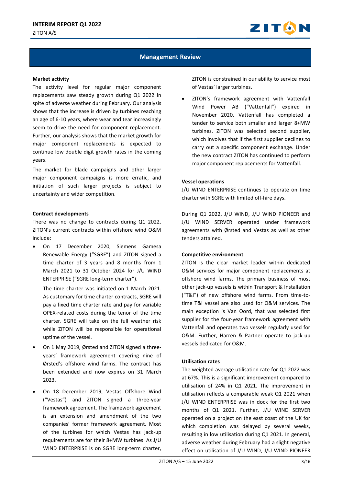

## **Management Review**

#### **Market activity**

The activity level for regular major component replacements saw steady growth during Q1 2022 in spite of adverse weather during February. Our analysis shows that the increase is driven by turbines reaching an age of 6-10 years, where wear and tear increasingly seem to drive the need for component replacement. Further, our analysis shows that the market growth for major component replacements is expected to continue low double digit growth rates in the coming years.

The market for blade campaigns and other larger major component campaigns is more erratic, and initiation of such larger projects is subject to uncertainty and wider competition.

#### **Contract developments**

There was no change to contracts during Q1 2022. ZITON's current contracts within offshore wind O&M include:

• On 17 December 2020, Siemens Gamesa Renewable Energy ("SGRE") and ZITON signed a time charter of 3 years and 8 months from 1 March 2021 to 31 October 2024 for J/U WIND ENTERPRISE ("SGRE long-term charter").

The time charter was initiated on 1 March 2021. As customary for time charter contracts, SGRE will pay a fixed time charter rate and pay for variable OPEX-related costs during the tenor of the time charter. SGRE will take on the full weather risk while ZITON will be responsible for operational uptime of the vessel.

- On 1 May 2019, Ørsted and ZITON signed a threeyears' framework agreement covering nine of Ørsted's offshore wind farms. The contract has been extended and now expires on 31 March 2023.
- On 18 December 2019, Vestas Offshore Wind ("Vestas") and ZITON signed a three-year framework agreement. The framework agreement is an extension and amendment of the two companies' former framework agreement. Most of the turbines for which Vestas has jack-up requirements are for their 8+MW turbines. As J/U WIND ENTERPRISE is on SGRE long-term charter,

ZITON is constrained in our ability to service most of Vestas' larger turbines.

• ZITON's framework agreement with Vattenfall Wind Power AB ("Vattenfall") expired in November 2020. Vattenfall has completed a tender to service both smaller and larger 8+MW turbines. ZITON was selected second supplier, which involves that if the first supplier declines to carry out a specific component exchange. Under the new contract ZITON has continued to perform major component replacements for Vattenfall.

### **Vessel operations**

J/U WIND ENTERPRISE continues to operate on time charter with SGRE with limited off-hire days.

During Q1 2022, J/U WIND, J/U WIND PIONEER and J/U WIND SERVER operated under framework agreements with Ørsted and Vestas as well as other tenders attained.

#### **Competitive environment**

ZITON is the clear market leader within dedicated O&M services for major component replacements at offshore wind farms. The primary business of most other jack-up vessels is within Transport & Installation ("T&I") of new offshore wind farms. From time-totime T&I vessel are also used for O&M services. The main exception is Van Oord, that was selected first supplier for the four-year framework agreement with Vattenfall and operates two vessels regularly used for O&M. Further, Harren & Partner operate to jack-up vessels dedicated for O&M.

## **Utilisation rates**

The weighted average utilisation rate for Q1 2022 was at 67%. This is a significant improvement compared to utilisation of 24% in Q1 2021. The improvement in utilisation reflects a comparable weak Q1 2021 when J/U WIND ENTERPRISE was in dock for the first two months of Q1 2021. Further, J/U WIND SERVER operated on a project on the east coast of the UK for which completion was delayed by several weeks, resulting in low utilisation during Q1 2021. In general, adverse weather during February had a slight negative effect on utilisation of J/U WIND, J/U WIND PIONEER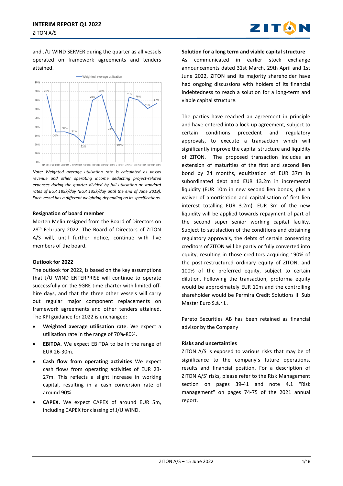

and J/U WIND SERVER during the quarter as all vessels operated on framework agreements and tenders attained.



*Note: Weighted average utilisation rate is calculated as vessel revenue and other operating income deducting project-related expenses during the quarter divided by full utilisation at standard rates of EUR 185k/day (EUR 135k/day until the end of June 2019). Each vessel has a different weighting depending on its specifications.*

#### **Resignation of board member**

Morten Melin resigned from the Board of Directors on 28<sup>th</sup> February 2022. The Board of Directors of ZITON A/S will, until further notice, continue with five members of the board.

#### **Outlook for 2022**

The outlook for 2022, is based on the key assumptions that J/U WIND ENTERPRISE will continue to operate successfully on the SGRE time charter with limited offhire days, and that the three other vessels will carry out regular major component replacements on framework agreements and other tenders attained. The KPI guidance for 2022 is unchanged:

- **Weighted average utilisation rate**. We expect a utilisation rate in the range of 70%-80%.
- **EBITDA**. We expect EBITDA to be in the range of EUR 26-30m.
- **Cash flow from operating activities** We expect cash flows from operating activities of EUR 23- 27m. This reflects a slight increase in working capital, resulting in a cash conversion rate of around 90%.
- **CAPEX.** We expect CAPEX of around EUR 5m, including CAPEX for classing of J/U WIND.

#### **Solution for a long term and viable capital structure**

As communicated in earlier stock exchange announcements dated 31st March, 29th April and 1st June 2022, ZITON and its majority shareholder have had ongoing discussions with holders of its financial indebtedness to reach a solution for a long-term and viable capital structure.

The parties have reached an agreement in principle and have entered into a lock-up agreement, subject to certain conditions precedent and regulatory approvals, to execute a transaction which will significantly improve the capital structure and liquidity of ZITON. The proposed transaction includes an extension of maturities of the first and second lien bond by 24 months, equitization of EUR 37m in subordinated debt and EUR 13.2m in incremental liquidity (EUR 10m in new second lien bonds, plus a waiver of amortisation and capitalisation of first lien interest totalling EUR 3.2m). EUR 3m of the new liquidity will be applied towards repayment of part of the second super senior working capital facility. Subject to satisfaction of the conditions and obtaining regulatory approvals, the debts of certain consenting creditors of ZITON will be partly or fully converted into equity, resulting in those creditors acquiring ~90% of the post-restructured ordinary equity of ZITON, and 100% of the preferred equity, subject to certain dilution. Following the transaction, proforma equity would be approximately EUR 10m and the controlling shareholder would be Permira Credit Solutions III Sub Master Euro S.à.r.l..

Pareto Securities AB has been retained as financial advisor by the Company

## **Risks and uncertainties**

ZITON A/S is exposed to various risks that may be of significance to the company's future operations, results and financial position. For a description of ZITON A/S' risks, please refer to the Risk Management section on pages 39-41 and note 4.1 "Risk management" on pages 74-75 of the 2021 annual report.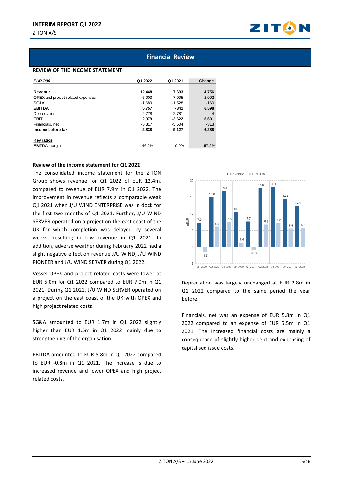

## **Financial Review**

#### **REVIEW OF THE INCOME STATEMENT**

| <b>EUR'000</b>                    | Q1 2022  | Q1 2021  | Change         |
|-----------------------------------|----------|----------|----------------|
|                                   |          |          |                |
| Revenue                           | 12,448   | 7,693    | 4,756          |
| OPEX and project-related expenses | $-5.003$ | $-7.005$ | 2,002          |
| SG&A                              | $-1.689$ | $-1.528$ | $-160$         |
| <b>EBITDA</b>                     | 5,757    | -841     | 6,598          |
| Depreciation                      | $-2.778$ | $-2,781$ | $\overline{4}$ |
| <b>EBIT</b>                       | 2.979    | $-3.622$ | 6,601          |
| Financials, net                   | $-5.817$ | $-5.504$ | $-313$         |
| Income before tax                 | $-2.838$ | $-9,127$ | 6,288          |
|                                   |          |          |                |
| <b>Key ratios</b>                 |          |          |                |
| <b>EBITDA</b> margin              | 46.2%    | $-10.9%$ | 57.2%          |

#### **Review of the income statement for Q1 2022**

The consolidated income statement for the ZITON Group shows revenue for Q1 2022 of EUR 12.4m, compared to revenue of EUR 7.9m in Q1 2022. The improvement in revenue reflects a comparable weak Q1 2021 when J/U WIND ENTERPRISE was in dock for the first two months of Q1 2021. Further, J/U WIND SERVER operated on a project on the east coast of the UK for which completion was delayed by several weeks, resulting in low revenue in Q1 2021. In addition, adverse weather during February 2022 had a slight negative effect on revenue J/U WIND, J/U WIND PIONEER and J/U WIND SERVER during Q1 2022.

Vessel OPEX and project related costs were lower at EUR 5.0m for Q1 2022 compared to EUR 7.0m in Q1 2021. During Q1 2021, J/U WIND SERVER operated on a project on the east coast of the UK with OPEX and high project related costs.

SG&A amounted to EUR 1.7m in Q1 2022 slightly higher than EUR 1.5m in Q1 2022 mainly due to strengthening of the organisation.

EBITDA amounted to EUR 5.8m in Q1 2022 compared to EUR -0.8m in Q1 2021. The increase is due to increased revenue and lower OPEX and high project related costs.



Depreciation was largely unchanged at EUR 2.8m in Q1 2022 compared to the same period the year before.

Financials, net was an expense of EUR 5.8m in Q1 2022 compared to an expense of EUR 5.5m in Q1 2021. The increased financial costs are mainly a consequence of slightly higher debt and expensing of capitalised issue costs.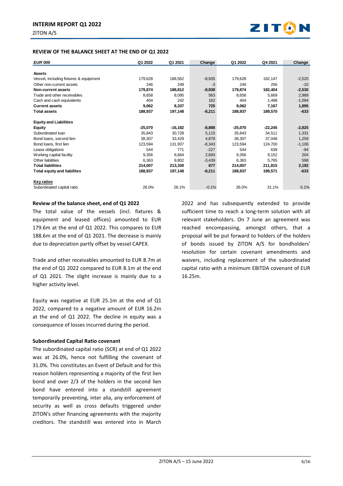

| <b>EUR</b> 000                         | Q1 2022   | Q1 2021   | Change   | Q1 2022   | Q4 2021   | Change   |
|----------------------------------------|-----------|-----------|----------|-----------|-----------|----------|
|                                        |           |           |          |           |           |          |
| <b>Assets</b>                          |           |           |          |           |           |          |
| Vessel, including fixtures & equipment | 179,628   | 188,562   | $-8,935$ | 179,628   | 182,147   | $-2,520$ |
| Other non-current assets               | 246       | 249       | -3       | 246       | 256       | $-10$    |
| <b>Non-current assets</b>              | 179,874   | 188,812   | $-8,938$ | 179,874   | 182,404   | $-2,530$ |
| Trade and other receivables            | 8,658     | 8,095     | 563      | 8,658     | 5,669     | 2,989    |
| Cash and cash equivalents              | 404       | 242       | 162      | 404       | 1,498     | $-1,094$ |
| <b>Current assets</b>                  | 9,062     | 8,337     | 725      | 9,062     | 7,167     | 1,895    |
| <b>Total assets</b>                    | 188,937   | 197,148   | $-8,211$ | 188,937   | 189,570   | $-633$   |
| <b>Equity and Liabilities</b>          |           |           |          |           |           |          |
| <b>Equity</b>                          | $-25,070$ | $-16,182$ | $-8,888$ | $-25,070$ | $-22,245$ | $-2,825$ |
| Subordinated loan                      | 35,843    | 30,728    | 5,115    | 35,843    | 34,511    | 1,331    |
| Bond loans, second lien                | 38,307    | 33,429    | 4,878    | 38,307    | 37,048    | 1,259    |
| Bond loans, first lien                 | 123,594   | 131,937   | $-8,343$ | 123,594   | 124,700   | $-1,106$ |
| Lease obligations                      | 544       | 771       | $-227$   | 544       | 639       | $-94$    |
| Working capital facility               | 9,356     | 6,664     | 2,693    | 9,356     | 9,152     | 204      |
| Other liabilities                      | 6,363     | 9,802     | $-3,439$ | 6,363     | 5,765     | 598      |
| <b>Total liabilities</b>               | 214,007   | 213,330   | 677      | 214,007   | 211,815   | 2,192    |
| <b>Total equity and liabilites</b>     | 188,937   | 197,148   | $-8,211$ | 188,937   | 189,571   | $-633$   |
| <b>Key ratios</b>                      |           |           |          |           |           |          |
| Subordinated capital ratio             | 26.0%     | 26.1%     | $-0.1%$  | 26.0%     | 31.1%     | $-5.1%$  |

#### **Review of the balance sheet, end of Q1 2022**

The total value of the vessels (incl. fixtures & equipment and leased offices) amounted to EUR 179.6m at the end of Q1 2022. This compares to EUR 188.6m at the end of Q1 2021. The decrease is mainly due to depreciation partly offset by vessel CAPEX.

Trade and other receivables amounted to EUR 8.7m at the end of Q1 2022 compared to EUR 8.1m at the end of Q1 2021. The slight increase is mainly due to a higher activity level.

Equity was negative at EUR 25.1m at the end of Q1 2022, compared to a negative amount of EUR 16.2m at the end of Q1 2022. The decline in equity was a consequence of losses incurred during the period.

#### **Subordinated Capital Ratio covenant**

The subordinated capital ratio (SCR) at end of Q1 2022 was at 26.0%, hence not fulfilling the covenant of 31.0%. This constitutes an Event of Default and for this reason holders representing a majority of the first lien bond and over 2/3 of the holders in the second lien bond have entered into a standstill agreement temporarily preventing, inter alia, any enforcement of security as well as cross defaults triggered under ZITON's other financing agreements with the majority creditors. The standstill was entered into in March 2022 and has subsequently extended to provide sufficient time to reach a long-term solution with all relevant stakeholders. On 7 June an agreement was reached encompassing, amongst others, that a proposal will be put forward to holders of the holders of bonds issued by ZITON A/S for bondholders' resolution for certain covenant amendments and waivers, including replacement of the subordinated capital ratio with a minimum EBITDA covenant of EUR 16.25m.

ZITO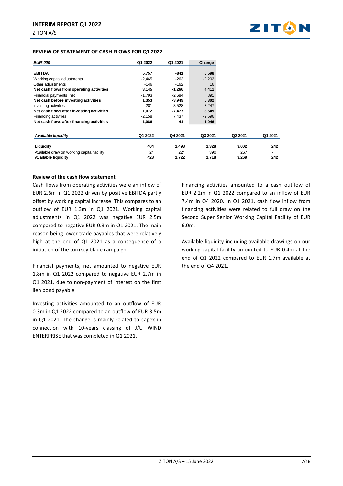

#### **REVIEW OF STATEMENT OF CASH FLOWS FOR Q1 2022**

| <b>EUR'000</b>                             | Q1 2022  | Q1 2021  | Change   |         |         |
|--------------------------------------------|----------|----------|----------|---------|---------|
|                                            |          |          |          |         |         |
| <b>EBITDA</b>                              | 5,757    | -841     | 6,598    |         |         |
| Working capital adjustments                | $-2,465$ | $-263$   | $-2,202$ |         |         |
| Other adjustments                          | $-146$   | $-162$   | 16       |         |         |
| Net cash flows from operating activities   | 3,145    | $-1,266$ | 4,411    |         |         |
| Financial payments, net                    | $-1,793$ | $-2.684$ | 891      |         |         |
| Net cash before investing activities       | 1,353    | $-3,949$ | 5,302    |         |         |
| Investing activities                       | $-281$   | $-3,528$ | 3,247    |         |         |
| Net cash flows after investing activities  | 1,072    | -7,477   | 8,549    |         |         |
| <b>Financing activities</b>                | $-2,158$ | 7,437    | $-9,596$ |         |         |
| Net cash flows after financing activities  | $-1,086$ | $-41$    | $-1,046$ |         |         |
| Available liquidity                        | Q1 2022  | Q4 2021  | Q3 2021  | Q2 2021 | Q1 2021 |
|                                            |          |          |          |         |         |
| Liquidity                                  | 404      | 1,498    | 1,328    | 3,002   | 242     |
| Available draw on working capital facility | 24       | 224      | 390      | 267     |         |
| Available liquidity                        | 428      | 1,722    | 1,718    | 3,269   | 242     |

#### **Review of the cash flow statement**

Cash flows from operating activities were an inflow of EUR 2.6m in Q1 2022 driven by positive EBITDA partly offset by working capital increase. This compares to an outflow of EUR 1.3m in Q1 2021. Working capital adjustments in Q1 2022 was negative EUR 2.5m compared to negative EUR 0.3m in Q1 2021. The main reason being lower trade payables that were relatively high at the end of Q1 2021 as a consequence of a initiation of the turnkey blade campaign.

Financial payments, net amounted to negative EUR 1.8m in Q1 2022 compared to negative EUR 2.7m in Q1 2021, due to non-payment of interest on the first lien bond payable.

Investing activities amounted to an outflow of EUR 0.3m in Q1 2022 compared to an outflow of EUR 3.5m in Q1 2021. The change is mainly related to capex in connection with 10-years classing of J/U WIND ENTERPRISE that was completed in Q1 2021.

Financing activities amounted to a cash outflow of EUR 2.2m in Q1 2022 compared to an inflow of EUR 7.4m in Q4 2020. In Q1 2021, cash flow inflow from financing activities were related to full draw on the Second Super Senior Working Capital Facility of EUR 6.0m.

Available liquidity including available drawings on our working capital facility amounted to EUR 0.4m at the end of Q1 2022 compared to EUR 1.7m available at the end of Q4 2021.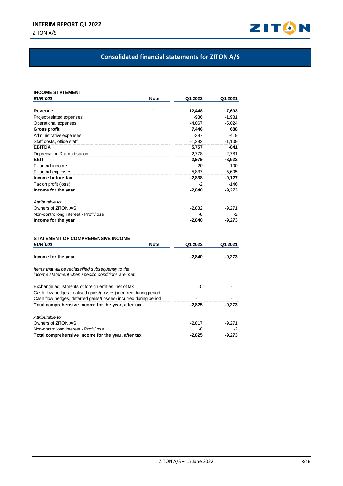

# **Consolidated financial statements for ZITON A/S**

| <b>INCOME STATEMENT</b>                                          |             |          |          |
|------------------------------------------------------------------|-------------|----------|----------|
| <b>EUR '000</b>                                                  | <b>Note</b> | Q1 2022  | Q1 2021  |
| Revenue                                                          | 1           | 12,448   | 7,693    |
| Project-related expenses                                         |             | $-936$   | $-1,981$ |
| Operational expenses                                             |             | $-4.067$ | $-5,024$ |
| <b>Gross profit</b>                                              |             | 7,446    | 688      |
| Administrative expenses                                          |             | $-397$   | $-419$   |
| Staff costs, office staff                                        |             | $-1.292$ | $-1,109$ |
| <b>EBITDA</b>                                                    |             | 5,757    | $-841$   |
| Depreciation & amortisation                                      |             | $-2.778$ | $-2.781$ |
| <b>EBIT</b>                                                      |             | 2,979    | $-3,622$ |
| Financial income                                                 |             | 20       | 100      |
| Financial expenses                                               |             | $-5.837$ | $-5.605$ |
| Income before tax                                                |             | $-2,838$ | $-9,127$ |
| Tax on profit (loss)                                             |             | -2       | $-146$   |
| Income for the year                                              |             | $-2,840$ | $-9,273$ |
|                                                                  |             |          |          |
| Attributable to:                                                 |             |          |          |
| Owners of ZITON A/S                                              |             | $-2,832$ | -9,271   |
| Non-controllong interest - Profit/loss                           |             | -8       | -2       |
| Income for the year                                              |             | $-2,840$ | -9,273   |
| <b>STATEMENT OF COMPREHENSIVE INCOME</b>                         |             |          |          |
| <b>EUR '000</b>                                                  | <b>Note</b> | Q1 2022  | Q1 2021  |
|                                                                  |             |          |          |
| Income for the year                                              |             | $-2,840$ | $-9,273$ |
| Items that will be reclassified subsequently to the              |             |          |          |
| income statement when specific conditions are met:               |             |          |          |
| Exchange adjustments of foreign entities, net of tax             |             | 15       |          |
| Cash flow hedges, realised gains/(losses) incurred during period |             |          |          |
| Cash flow hedges, deferred gains/(losses) incurred during period |             |          |          |
| Total comprehensive income for the year, after tax               |             | $-2,825$ | $-9,273$ |
| Attributable to:                                                 |             |          |          |
| Owners of ZITON A/S                                              |             | $-2,817$ | $-9,271$ |
| Non-controllong interest - Profit/loss                           |             | -8       | -2       |
| Total comprehensive income for the year, after tax               |             | $-2,825$ | $-9,273$ |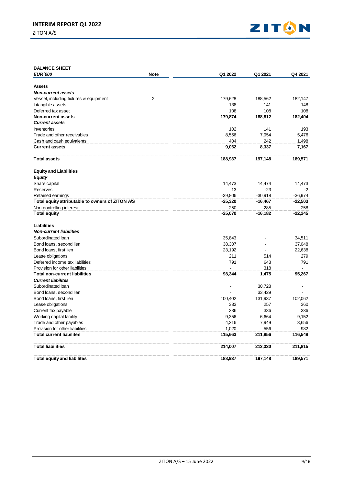ZITON A/S



| <b>BALANCE SHEET</b>                             |             |           |           |           |
|--------------------------------------------------|-------------|-----------|-----------|-----------|
| <b>EUR '000</b>                                  | <b>Note</b> | Q1 2022   | Q1 2021   | Q4 2021   |
|                                                  |             |           |           |           |
| <b>Assets</b>                                    |             |           |           |           |
| <b>Non-current assets</b>                        |             |           |           |           |
| Vessel, including fixtures & equipment           | 2           | 179,628   | 188,562   | 182,147   |
| Intangible assets                                |             | 138       | 141       | 148       |
| Deferred tax asset                               |             | 108       | 108       | 108       |
| <b>Non-current assets</b>                        |             | 179,874   | 188,812   | 182,404   |
| <b>Current assets</b>                            |             |           |           |           |
| Inventories                                      |             | 102       | 141       | 193       |
| Trade and other receivables                      |             | 8,556     | 7,954     | 5,476     |
| Cash and cash equivalents                        |             | 404       | 242       | 1,498     |
| <b>Current assets</b>                            |             | 9,062     | 8,337     | 7,167     |
| <b>Total assets</b>                              |             | 188,937   | 197,148   | 189,571   |
| <b>Equity and Liabilities</b>                    |             |           |           |           |
| <b>Equity</b>                                    |             |           |           |           |
| Share capital                                    |             | 14,473    | 14,474    | 14,473    |
| Reserves                                         |             | 13        | $-23$     | -2        |
| Retained earnings                                |             | $-39,806$ | $-30,918$ | $-36,974$ |
| Total equity attributable to owners of ZITON A/S |             | $-25,320$ | $-16,467$ | $-22,503$ |
| Non-controlling interest                         |             | 250       | 285       | 258       |
| <b>Total equity</b>                              |             | $-25,070$ | $-16,182$ | $-22,245$ |
| <b>Liabilities</b>                               |             |           |           |           |
| <b>Non-current liabilities</b>                   |             |           |           |           |
| Subordinated loan                                |             | 35,843    |           | 34,511    |
| Bond loans, second lien                          |             | 38,307    |           | 37,048    |
| Bond loans, first lien                           |             | 23,192    | $\sim$    | 22,638    |
| Lease obligations                                |             | 211       | 514       | 279       |
| Deferred income tax liabilities                  |             | 791       | 643       | 791       |
| Provision for other liabilities                  |             |           | 318       |           |
| <b>Total non-current liabilities</b>             |             | 98,344    | 1,475     | 95,267    |
| <b>Current liabilites</b>                        |             |           |           |           |
| Subordinated loan                                |             |           | 30,728    |           |
| Bond loans, second lien                          |             |           | 33,429    |           |
| Bond loans, first lien                           |             | 100,402   | 131,937   | 102,062   |
| Lease obligations                                |             | 333       | 257       | 360       |
| Current tax payable                              |             | 336       | 336       | 336       |
| Working capital facility                         |             | 9,356     | 6,664     | 9,152     |
| Trade and other payables                         |             | 4,216     | 7,949     | 3,656     |
| Provision for other liabilities                  |             | 1,020     | 556       | 982       |
| <b>Total current liabilites</b>                  |             | 115,663   | 211,856   | 116,548   |
| <b>Total liabilities</b>                         |             | 214,007   | 213,330   | 211,815   |
| <b>Total equity and liabilites</b>               |             | 188,937   | 197,148   | 189,571   |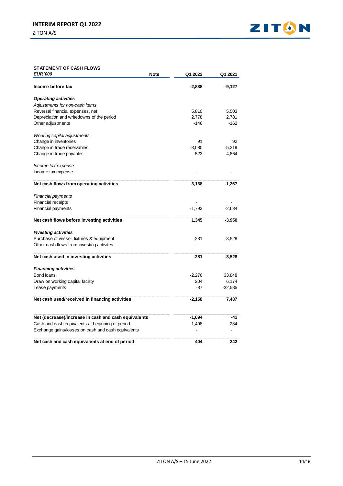

### **STATEMENT OF CASH FLOWS Q1-22 Q1-21**

| <b>EUR</b> 000                                       | Note<br>Q1 2022 | Q1 2021   |
|------------------------------------------------------|-----------------|-----------|
| Income before tax                                    | $-2,838$        | -9,127    |
| <b>Operating activities</b>                          |                 |           |
| Adjustments for non-cash items                       |                 |           |
| Reversal financial expenses, net                     | 5,810           | 5,503     |
| Depreciation and writedowns of the period            | 2,778           | 2,781     |
| Other adjustments                                    | $-146$          | $-162$    |
| Working capital adjustments                          |                 |           |
| Change in inventories                                | 91              | 92        |
| Change in trade receivables                          | $-3,080$        | $-5,219$  |
| Change in trade payables                             | 523             | 4,864     |
| Income tax expense                                   |                 |           |
| Income tax expense                                   |                 |           |
| Net cash flows from operating activities             | 3,138           | $-1,267$  |
| <b>Financial payments</b>                            |                 |           |
| <b>Financial receipts</b>                            |                 |           |
| Financial payments                                   | $-1,793$        | $-2,684$  |
| Net cash flows before investing activities           | 1,345           | $-3,950$  |
| <b>Investing activities</b>                          |                 |           |
| Purchase of vessel, fixtures & equipment             | $-281$          | $-3,528$  |
| Other cash flows from investing activites            |                 |           |
| Net cash used in investing activities                | $-281$          | $-3,528$  |
| <b>Financing activities</b>                          |                 |           |
| Bond loans                                           | $-2,276$        | 33,848    |
| Draw on working capital facility                     | 204             | 6,174     |
| Lease payments                                       | $-87$           | $-32,585$ |
| Net cash used/received in financing activities       | $-2,158$        | 7,437     |
| Net (decrease)/increase in cash and cash equivalents | $-1,094$        | -41       |
| Cash and cash equivalents at beginning of period     | 1,498           | 284       |
| Exchange gains/losses on cash and cash equivalents   |                 |           |
| Net cash and cash equivalents at end of period       | 404             | 242       |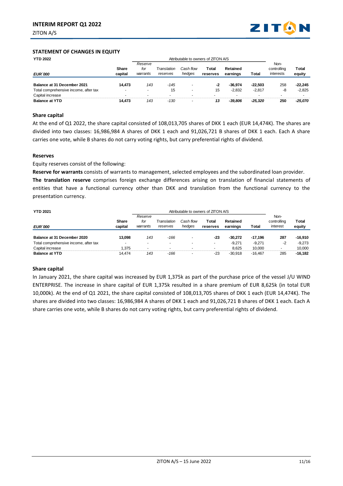ZITON A/S



#### **STATEMENT OF CHANGES IN EQUITY**

| <b>YTD 2022</b>                       |                          | Attributable to owners of ZITON A/S |             |           |          |           |           |                     |              |
|---------------------------------------|--------------------------|-------------------------------------|-------------|-----------|----------|-----------|-----------|---------------------|--------------|
|                                       | Share                    | Reserve<br>for                      | Translation | Cash flow | Total    | Retained  |           | Non-<br>controlling | <b>Total</b> |
| <b>EUR'000</b>                        | capital                  | warrants                            | reserves    | hedges    | reserves | earnings  | Total     | interests           | equity       |
| Balance at 31 December 2021           | 14,473                   | 143                                 | $-145$      |           | -2       | $-36.974$ | $-22.503$ | 258                 | $-22.245$    |
| Total comprehensive income, after tax | $\overline{\phantom{a}}$ | -                                   | 15          | -         | 15       | $-2.832$  | $-2.817$  | -8                  | $-2.825$     |
| Capital increase                      |                          | $\overline{\phantom{a}}$            |             |           |          |           |           |                     |              |
| <b>Balance at YTD</b>                 | 14.473                   | 143                                 | $-130$      |           | 13       | -39.806   | -25.320   | 250                 | -25.070      |

### **Share capital**

At the end of Q1 2022, the share capital consisted of 108,013,705 shares of DKK 1 each (EUR 14,474K). The shares are divided into two classes: 16,986,984 A shares of DKK 1 each and 91,026,721 B shares of DKK 1 each. Each A share carries one vote, while B shares do not carry voting rights, but carry preferential rights of dividend.

#### **Reserves**

Equity reserves consist of the following:

**Reserve for warrants** consists of warrants to management, selected employees and the subordinated loan provider. **The translation reserve** comprises foreign exchange differences arising on translation of financial statements of entities that have a functional currency other than DKK and translation from the functional currency to the

presentation currency.

| <b>YTD 2021</b>                       |                  | Attributable to owners of ZITON A/S |                         |                     |                   |                      |           |                                 |                 |
|---------------------------------------|------------------|-------------------------------------|-------------------------|---------------------|-------------------|----------------------|-----------|---------------------------------|-----------------|
| <b>EUR'000</b>                        | Share<br>capital | Reserve<br>for<br>warrants          | Translation<br>reserves | Cash flow<br>hedges | Total<br>reserves | Retained<br>earnings | Total     | Non-<br>controlling<br>interest | Total<br>equity |
| Balance at 31 December 2020           | 13.098           | 143                                 | -166                    |                     | $-23$             | $-30.272$            | $-17.196$ | 287                             | $-16.910$       |
| Total comprehensive income, after tax | ۰                | -                                   |                         |                     | -                 | $-9.271$             | $-9.271$  | -2                              | $-9.273$        |
| Capital increase                      | 1.375            |                                     |                         |                     |                   | 8.625                | 10.000    |                                 | 10.000          |
| <b>Balance at YTD</b>                 | 14.474           | 143                                 | -166                    |                     | -23               | $-30.918$            | $-16.467$ | 285                             | $-16.182$       |

#### **Share capital**

In January 2021, the share capital was increased by EUR 1,375k as part of the purchase price of the vessel J/U WIND ENTERPRISE. The increase in share capital of EUR 1,375k resulted in a share premium of EUR 8,625k (in total EUR 10,000k). At the end of Q1 2021, the share capital consisted of 108,013,705 shares of DKK 1 each (EUR 14,474K). The shares are divided into two classes: 16,986,984 A shares of DKK 1 each and 91,026,721 B shares of DKK 1 each. Each A share carries one vote, while B shares do not carry voting rights, but carry preferential rights of dividend.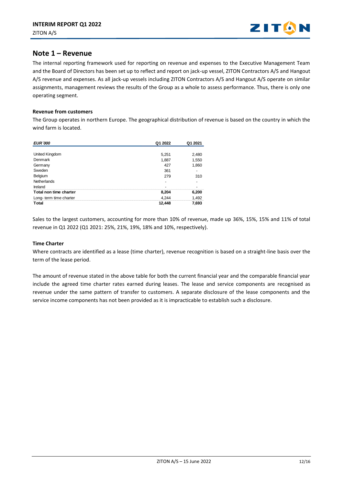

# **Note 1 – Revenue**

The internal reporting framework used for reporting on revenue and expenses to the Executive Management Team and the Board of Directors has been set up to reflect and report on jack-up vessel, ZITON Contractors A/S and Hangout A/S revenue and expenses. As all jack-up vessels including ZITON Contractors A/S and Hangout A/S operate on similar assignments, management reviews the results of the Group as a whole to assess performance. Thus, there is only one operating segment.

#### **Revenue from customers**

The Group operates in northern Europe. The geographical distribution of revenue is based on the country in which the wind farm is located.

| <b>EUR</b> 000         | Q1 2022 | Q1 2021 |
|------------------------|---------|---------|
|                        |         |         |
| United Kingdom         | 5,251   | 2,480   |
| Denmark                | 1,887   | 1,550   |
| Germany                | 427     | 1,860   |
| Sweden                 | 361     |         |
| Belgium                | 279     | 310     |
| Netherlands            |         |         |
| Ireland                |         |         |
| Total non time charter | 8,204   | 6,200   |
| Long-term time charter | 4.244   | 1,492   |
| <b>Total</b>           | 12,448  | 7,693   |

Sales to the largest customers, accounting for more than 10% of revenue, made up 36%, 15%, 15% and 11% of total revenue in Q1 2022 (Q1 2021: 25%, 21%, 19%, 18% and 10%, respectively).

### **Time Charter**

Where contracts are identified as a lease (time charter), revenue recognition is based on a straight-line basis over the term of the lease period.

The amount of revenue stated in the above table for both the current financial year and the comparable financial year include the agreed time charter rates earned during leases. The lease and service components are recognised as revenue under the same pattern of transfer to customers. A separate disclosure of the lease components and the service income components has not been provided as it is impracticable to establish such a disclosure.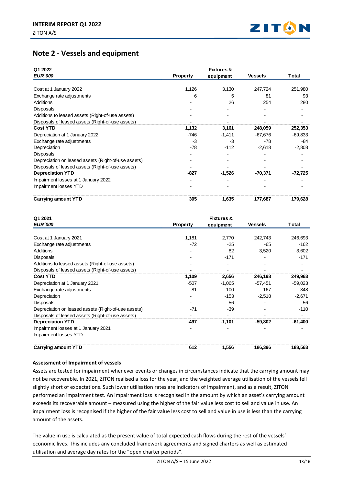

# **Note 2 - Vessels and equipment**

| Q1 2022<br><b>EUR '000</b>                          | <b>Property</b> | <b>Fixtures &amp;</b><br>equipment | <b>Vessels</b> | Total     |
|-----------------------------------------------------|-----------------|------------------------------------|----------------|-----------|
|                                                     |                 |                                    |                |           |
| Cost at 1 January 2022                              | 1,126           | 3,130                              | 247,724        | 251,980   |
| Exchange rate adjustments                           | 6               | 5                                  | 81             | 93        |
| <b>Additions</b>                                    |                 | 26                                 | 254            | 280       |
| <b>Disposals</b>                                    |                 |                                    |                |           |
| Additions to leased assets (Right-of-use assets)    |                 |                                    |                |           |
| Disposals of leased assets (Right-of-use assets)    |                 |                                    |                |           |
| <b>Cost YTD</b>                                     | 1,132           | 3,161                              | 248,059        | 252,353   |
| Depreciation at 1 January 2022                      | -746            | $-1,411$                           | $-67,676$      | $-69,833$ |
| Exchange rate adjustments                           | $-3$            | -3                                 | $-78$          | -84       |
| Depreciation                                        | -78             | $-112$                             | $-2,618$       | $-2,808$  |
| <b>Disposals</b>                                    |                 |                                    |                |           |
| Depreciation on leased assets (Right-of-use assets) |                 |                                    |                |           |
| Disposals of leased assets (Right-of-use assets)    |                 |                                    |                |           |
| <b>Depreciation YTD</b>                             | $-827$          | $-1,526$                           | -70,371        | $-72,725$ |
| Impairment losses at 1 January 2022                 |                 |                                    |                |           |
| Impairment losses YTD                               |                 |                                    |                |           |
| <b>Carrying amount YTD</b>                          | 305             | 1,635                              | 177,687        | 179,628   |

| Q1 2021<br><b>EUR '000</b>                          | <b>Property</b> | <b>Fixtures &amp;</b><br>equipment | <b>Vessels</b> | Total     |
|-----------------------------------------------------|-----------------|------------------------------------|----------------|-----------|
|                                                     |                 |                                    |                |           |
| Cost at 1 January 2021                              | 1.181           | 2.770                              | 242.743        | 246,693   |
| Exchange rate adjustments                           | $-72$           | $-25$                              | -65            | $-162$    |
| Additions                                           |                 | 82                                 | 3,520          | 3,602     |
| <b>Disposals</b>                                    |                 | $-171$                             |                | $-171$    |
| Additions to leased assets (Right-of-use assets)    |                 |                                    |                |           |
| Disposals of leased assets (Right-of-use assets)    |                 |                                    |                |           |
| <b>Cost YTD</b>                                     | 1,109           | 2,656                              | 246,198        | 249,963   |
| Depreciation at 1 January 2021                      | $-507$          | $-1,065$                           | $-57.451$      | $-59,023$ |
| Exchange rate adjustments                           | 81              | 100                                | 167            | 348       |
| Depreciation                                        |                 | $-153$                             | $-2,518$       | $-2,671$  |
| <b>Disposals</b>                                    |                 | 56                                 |                | 56        |
| Depreciation on leased assets (Right-of-use assets) | $-71$           | $-39$                              |                | $-110$    |
| Disposals of leased assets (Right-of-use assets)    |                 |                                    |                |           |
| <b>Depreciation YTD</b>                             | -497            | $-1,101$                           | -59,802        | $-61,400$ |
| Impairment losses at 1 January 2021                 |                 |                                    |                |           |
| Impairment losses YTD                               |                 |                                    |                |           |
| <b>Carrying amount YTD</b>                          | 612             | 1,556                              | 186,396        | 188,563   |

## **Assessment of Impairment of vessels**

Assets are tested for impairment whenever events or changes in circumstances indicate that the carrying amount may not be recoverable. In 2021, ZITON realised a loss for the year, and the weighted average utilisation of the vessels fell slightly short of expectations. Such lower utilisation rates are indicators of impairment, and as a result, ZITON performed an impairment test. An impairment loss is recognised in the amount by which an asset's carrying amount exceeds its recoverable amount – measured using the higher of the fair value less cost to sell and value in use. An impairment loss is recognised if the higher of the fair value less cost to sell and value in use is less than the carrying amount of the assets.

The value in use is calculated as the present value of total expected cash flows during the rest of the vessels' economic lives. This includes any concluded framework agreements and signed charters as well as estimated utilisation and average day rates for the "open charter periods".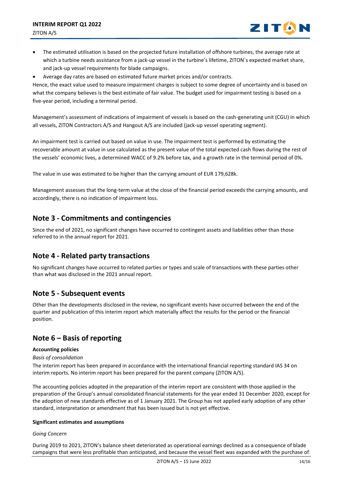

- The estimated utilisation is based on the projected future installation of offshore turbines, the average rate at which a turbine needs assistance from a jack-up vessel in the turbine's lifetime, ZITON´s expected market share, and jack-up vessel requirements for blade campaigns.
- Average day rates are based on estimated future market prices and/or contracts.

Hence, the exact value used to measure impairment charges is subject to some degree of uncertainty and is based on what the company believes is the best estimate of fair value. The budget used for impairment testing is based on a five-year period, including a terminal period.

Management's assessment of indications of impairment of vessels is based on the cash-generating unit (CGU) in which all vessels, ZITON Contractors A/S and Hangout A/S are included (jack-up vessel operating segment).

An impairment test is carried out based on value in use. The impairment test is performed by estimating the recoverable amount at value in use calculated as the present value of the total expected cash flows during the rest of the vessels' economic lives, a determined WACC of 9.2% before tax, and a growth rate in the terminal period of 0%.

The value in use was estimated to be higher than the carrying amount of EUR 179,628k.

Management assesses that the long-term value at the close of the financial period exceeds the carrying amounts, and accordingly, there is no indication of impairment loss.

# **Note 3 - Commitments and contingencies**

Since the end of 2021, no significant changes have occurred to contingent assets and liabilities other than those referred to in the annual report for 2021.

# **Note 4 - Related party transactions**

No significant changes have occurred to related parties or types and scale of transactions with these parties other than what was disclosed in the 2021 annual report.

# **Note 5 - Subsequent events**

Other than the developments disclosed in the review, no significant events have occurred between the end of the quarter and publication of this interim report which materially affect the results for the period or the financial position.

# **Note 6 – Basis of reporting**

#### **Accounting policies**

#### *Basis of consolidation*

The interim report has been prepared in accordance with the international financial reporting standard IAS 34 on interim reports. No interim report has been prepared for the parent company (ZITON A/S).

The accounting policies adopted in the preparation of the interim report are consistent with those applied in the preparation of the Group's annual consolidated financial statements for the year ended 31 December 2020, except for the adoption of new standards effective as of 1 January 2021. The Group has not applied early adoption of any other standard, interpretation or amendment that has been issued but is not yet effective.

#### **Significant estimates and assumptions**

#### *Going Concern*

During 2019 to 2021, ZITON's balance sheet deteriorated as operational earnings declined as a consequence of blade campaigns that were less profitable than anticipated, and because the vessel fleet was expanded with the purchase of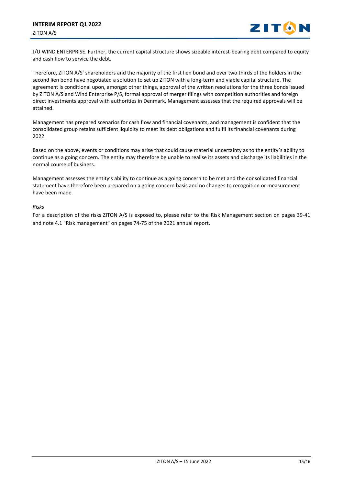

J/U WIND ENTERPRISE. Further, the current capital structure shows sizeable interest-bearing debt compared to equity and cash flow to service the debt.

Therefore, ZITON A/S' shareholders and the majority of the first lien bond and over two thirds of the holders in the second lien bond have negotiated a solution to set up ZITON with a long-term and viable capital structure. The agreement is conditional upon, amongst other things, approval of the written resolutions for the three bonds issued by ZITON A/S and Wind Enterprise P/S, formal approval of merger filings with competition authorities and foreign direct investments approval with authorities in Denmark. Management assesses that the required approvals will be attained.

Management has prepared scenarios for cash flow and financial covenants, and management is confident that the consolidated group retains sufficient liquidity to meet its debt obligations and fulfil its financial covenants during 2022.

Based on the above, events or conditions may arise that could cause material uncertainty as to the entity's ability to continue as a going concern. The entity may therefore be unable to realise its assets and discharge its liabilities in the normal course of business.

Management assesses the entity's ability to continue as a going concern to be met and the consolidated financial statement have therefore been prepared on a going concern basis and no changes to recognition or measurement have been made.

### *Risks*

For a description of the risks ZITON A/S is exposed to, please refer to the Risk Management section on pages 39-41 and note 4.1 "Risk management" on pages 74-75 of the 2021 annual report.